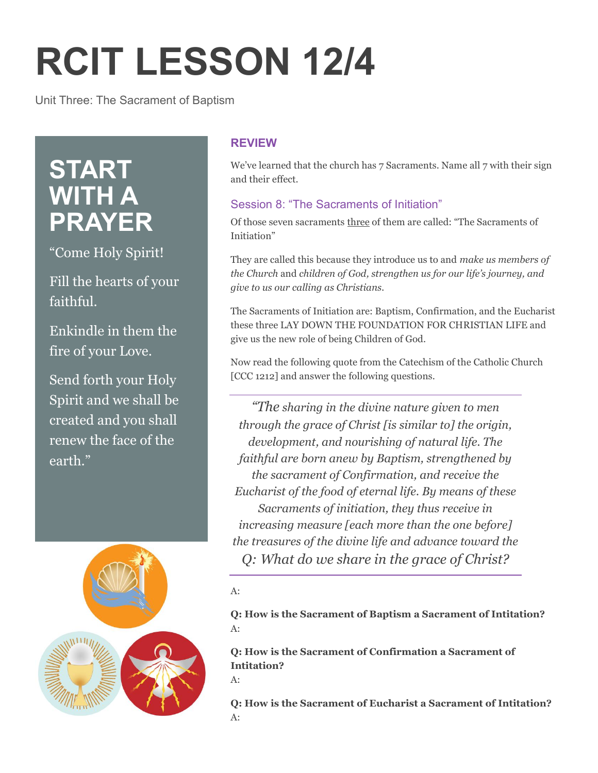# **RCIT LESSON 12/4**

Unit Three: The Sacrament of Baptism

## **START WITH A PRAYER**

"Come Holy Spirit!

Fill the hearts of your faithful.

Enkindle in them the fire of your Love.

Send forth your Holy Spirit and we shall be created and you shall renew the face of the earth."



### **REVIEW**

We've learned that the church has 7 Sacraments. Name all 7 with their sign and their effect.

#### Session 8: "The Sacraments of Initiation"

Of those seven sacraments three of them are called: "The Sacraments of Initiation"

They are called this because they introduce us to and *make us members of the Church* and *children of God, strengthen us for our life's journey, and give to us our calling as Christians.*

The Sacraments of Initiation are: Baptism, Confirmation, and the Eucharist these three LAY DOWN THE FOUNDATION FOR CHRISTIAN LIFE and give us the new role of being Children of God.

Now read the following quote from the Catechism of the Catholic Church [CCC 1212] and answer the following questions.

*"The sharing in the divine nature given to men through the grace of Christ [is similar to] the origin, development, and nourishing of natural life. The faithful are born anew by Baptism, strengthened by the sacrament of Confirmation, and receive the Eucharist of the food of eternal life. By means of these Sacraments of initiation, they thus receive in increasing measure [each more than the one before] the treasures of the divine life and advance toward the Q: What do we share in the grace of Christ?*

A:

**Q: How is the Sacrament of Baptism a Sacrament of Intitation?** A:

**Q: How is the Sacrament of Confirmation a Sacrament of Intitation?**

 $A$ :

**Q: How is the Sacrament of Eucharist a Sacrament of Intitation?**  $A^+$